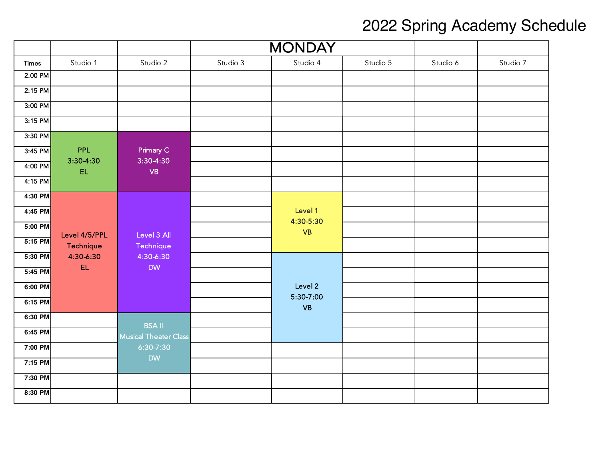|              |                 |                              | <b>MONDAY</b> |                      |          |          |          |
|--------------|-----------------|------------------------------|---------------|----------------------|----------|----------|----------|
| <b>Times</b> | Studio 1        | Studio 2                     | Studio 3      | Studio 4             | Studio 5 | Studio 6 | Studio 7 |
| 2:00 PM      |                 |                              |               |                      |          |          |          |
| $2:15$ PM    |                 |                              |               |                      |          |          |          |
| 3:00 PM      |                 |                              |               |                      |          |          |          |
| $3:15$ PM    |                 |                              |               |                      |          |          |          |
| 3:30 PM      |                 |                              |               |                      |          |          |          |
| $3:45$ PM    | <b>PPL</b>      | Primary C                    |               |                      |          |          |          |
| 4:00 PM      | 3:30-4:30<br>EL | $3:30-4:30$<br>VB            |               |                      |          |          |          |
| 4:15 PM      |                 |                              |               |                      |          |          |          |
| 4:30 PM      |                 |                              |               |                      |          |          |          |
| 4:45 PM      |                 |                              |               | Level 1<br>4:30-5:30 |          |          |          |
| 5:00 PM      | Level 4/5/PPL   | Level 3 All                  |               | <b>VB</b>            |          |          |          |
| $5:15$ PM    | Technique       | Technique                    |               |                      |          |          |          |
| 5:30 PM      | 4:30-6:30       | 4:30-6:30                    |               |                      |          |          |          |
| 5:45 PM      | EL              | <b>DW</b>                    |               |                      |          |          |          |
| 6:00 PM      |                 |                              |               | Level 2<br>5:30-7:00 |          |          |          |
| 6:15 PM      |                 |                              |               | <b>VB</b>            |          |          |          |
| 6:30 PM      |                 | <b>BSA II</b>                |               |                      |          |          |          |
| 6:45 PM      |                 | <b>Musical Theater Class</b> |               |                      |          |          |          |
| 7:00 PM      |                 | 6:30-7:30                    |               |                      |          |          |          |
| 7:15 PM      |                 | <b>DW</b>                    |               |                      |          |          |          |
| 7:30 PM      |                 |                              |               |                      |          |          |          |
| 8:30 PM      |                 |                              |               |                      |          |          |          |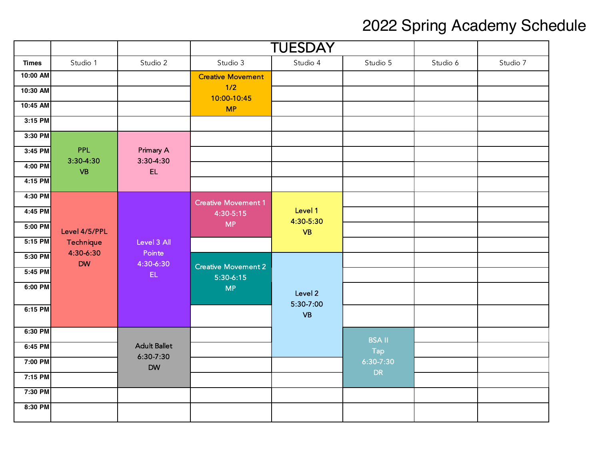|              |                        |                            | <b>TUESDAY</b>                            |                        |               |          |          |
|--------------|------------------------|----------------------------|-------------------------------------------|------------------------|---------------|----------|----------|
| <b>Times</b> | Studio 1               | Studio 2                   | Studio 3                                  | Studio 4               | Studio 5      | Studio 6 | Studio 7 |
| 10:00 AM     |                        |                            | <b>Creative Movement</b>                  |                        |               |          |          |
| 10:30 AM     |                        |                            | 1/2<br>10:00-10:45                        |                        |               |          |          |
| 10:45 AM     |                        |                            | <b>MP</b>                                 |                        |               |          |          |
| 3:15 PM      |                        |                            |                                           |                        |               |          |          |
| 3:30 PM      |                        |                            |                                           |                        |               |          |          |
| 3:45 PM      | <b>PPL</b>             | Primary A                  |                                           |                        |               |          |          |
| 4:00 PM      | 3:30-4:30<br><b>VB</b> | $3:30-4:30$<br>EL          |                                           |                        |               |          |          |
| 4:15 PM      |                        |                            |                                           |                        |               |          |          |
| 4:30 PM      |                        |                            | <b>Creative Movement 1</b>                |                        |               |          |          |
| 4:45 PM      |                        |                            | 4:30-5:15                                 | Level 1                |               |          |          |
| 5:00 PM      | Level 4/5/PPL          |                            | <b>MP</b>                                 | 4:30-5:30<br><b>VB</b> |               |          |          |
| 5:15 PM      | Technique              | Level 3 All                |                                           |                        |               |          |          |
| 5:30 PM      | 4:30-6:30<br><b>DW</b> | Pointe<br>4:30-6:30        |                                           |                        |               |          |          |
| 5:45 PM      |                        | EL.                        | <b>Creative Movement 2</b><br>$5:30-6:15$ |                        |               |          |          |
| 6:00 PM      |                        |                            | <b>MP</b>                                 | Level 2                |               |          |          |
| 6:15 PM      |                        |                            |                                           | 5:30-7:00<br><b>VB</b> |               |          |          |
| 6:30 PM      |                        |                            |                                           |                        | <b>BSA II</b> |          |          |
| 6:45 PM      |                        | <b>Adult Ballet</b>        |                                           |                        | Tap           |          |          |
| 7:00 PM      |                        | $6:30 - 7:30$<br><b>DW</b> |                                           |                        | 6:30-7:30     |          |          |
| 7:15 PM      |                        |                            |                                           |                        | <b>DR</b>     |          |          |
| 7:30 PM      |                        |                            |                                           |                        |               |          |          |
| 8:30 PM      |                        |                            |                                           |                        |               |          |          |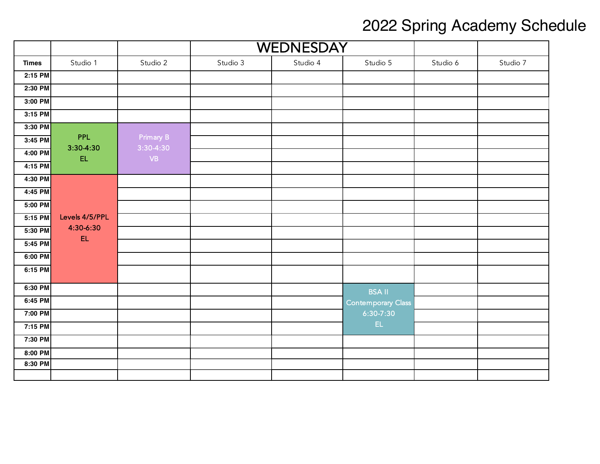|              |                         |                          | <b>WEDNESDAY</b> |          |                    |          |          |
|--------------|-------------------------|--------------------------|------------------|----------|--------------------|----------|----------|
| <b>Times</b> | Studio 1                | Studio 2                 | Studio 3         | Studio 4 | Studio 5           | Studio 6 | Studio 7 |
| 2:15 PM      |                         |                          |                  |          |                    |          |          |
| 2:30 PM      |                         |                          |                  |          |                    |          |          |
| 3:00 PM      |                         |                          |                  |          |                    |          |          |
| 3:15 PM      |                         |                          |                  |          |                    |          |          |
| 3:30 PM      |                         |                          |                  |          |                    |          |          |
| 3:45 PM      | <b>PPL</b><br>3:30-4:30 | Primary B<br>$3:30-4:30$ |                  |          |                    |          |          |
| 4:00 PM      | EL                      | $\mathsf{V}\mathsf{B}$   |                  |          |                    |          |          |
| $4:15$ PM    |                         |                          |                  |          |                    |          |          |
| 4:30 PM      |                         |                          |                  |          |                    |          |          |
| 4:45 PM      |                         |                          |                  |          |                    |          |          |
| 5:00 PM      |                         |                          |                  |          |                    |          |          |
| 5:15 PM      | Levels 4/5/PPL          |                          |                  |          |                    |          |          |
| 5:30 PM      | 4:30-6:30<br>EL         |                          |                  |          |                    |          |          |
| 5:45 PM      |                         |                          |                  |          |                    |          |          |
| 6:00 PM      |                         |                          |                  |          |                    |          |          |
| 6:15 PM      |                         |                          |                  |          |                    |          |          |
| 6:30 PM      |                         |                          |                  |          | <b>BSA II</b>      |          |          |
| 6:45 PM      |                         |                          |                  |          | Contemporary Class |          |          |
| 7:00 PM      |                         |                          |                  |          | $6:30 - 7:30$      |          |          |
| 7:15 PM      |                         |                          |                  |          | EL.                |          |          |
| 7:30 PM      |                         |                          |                  |          |                    |          |          |
| 8:00 PM      |                         |                          |                  |          |                    |          |          |
| 8:30 PM      |                         |                          |                  |          |                    |          |          |
|              |                         |                          |                  |          |                    |          |          |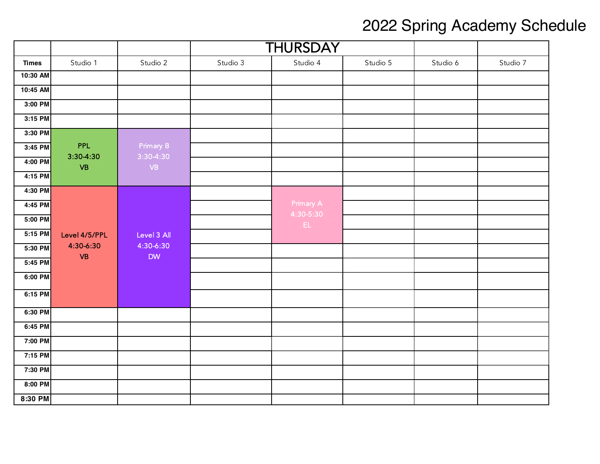|              |                           |                          | <b>THURSDAY</b> |                        |          |          |          |
|--------------|---------------------------|--------------------------|-----------------|------------------------|----------|----------|----------|
| <b>Times</b> | Studio 1                  | Studio 2                 | Studio 3        | Studio 4               | Studio 5 | Studio 6 | Studio 7 |
| 10:30 AM     |                           |                          |                 |                        |          |          |          |
| 10:45 AM     |                           |                          |                 |                        |          |          |          |
| 3:00 PM      |                           |                          |                 |                        |          |          |          |
| 3:15 PM      |                           |                          |                 |                        |          |          |          |
| 3:30 PM      |                           |                          |                 |                        |          |          |          |
| 3:45 PM      | <b>PPL</b><br>$3:30-4:30$ | Primary B<br>$3:30-4:30$ |                 |                        |          |          |          |
| $4:00$ PM    | VB                        | VB                       |                 |                        |          |          |          |
| $4:15$ PM    |                           |                          |                 |                        |          |          |          |
| 4:30 PM      |                           |                          |                 |                        |          |          |          |
| 4:45 PM      |                           |                          |                 | Primary A<br>4:30-5:30 |          |          |          |
| 5:00 PM      |                           |                          |                 | EL.                    |          |          |          |
| 5:15 PM      | Level 4/5/PPL             | Level 3 All              |                 |                        |          |          |          |
| 5:30 PM      | 4:30-6:30<br><b>VB</b>    | 4:30-6:30<br><b>DW</b>   |                 |                        |          |          |          |
| 5:45 PM      |                           |                          |                 |                        |          |          |          |
| 6:00 PM      |                           |                          |                 |                        |          |          |          |
| 6:15 PM      |                           |                          |                 |                        |          |          |          |
| 6:30 PM      |                           |                          |                 |                        |          |          |          |
| 6:45 PM      |                           |                          |                 |                        |          |          |          |
| 7:00 PM      |                           |                          |                 |                        |          |          |          |
| 7:15 PM      |                           |                          |                 |                        |          |          |          |
| 7:30 PM      |                           |                          |                 |                        |          |          |          |
| 8:00 PM      |                           |                          |                 |                        |          |          |          |
| 8:30 PM      |                           |                          |                 |                        |          |          |          |